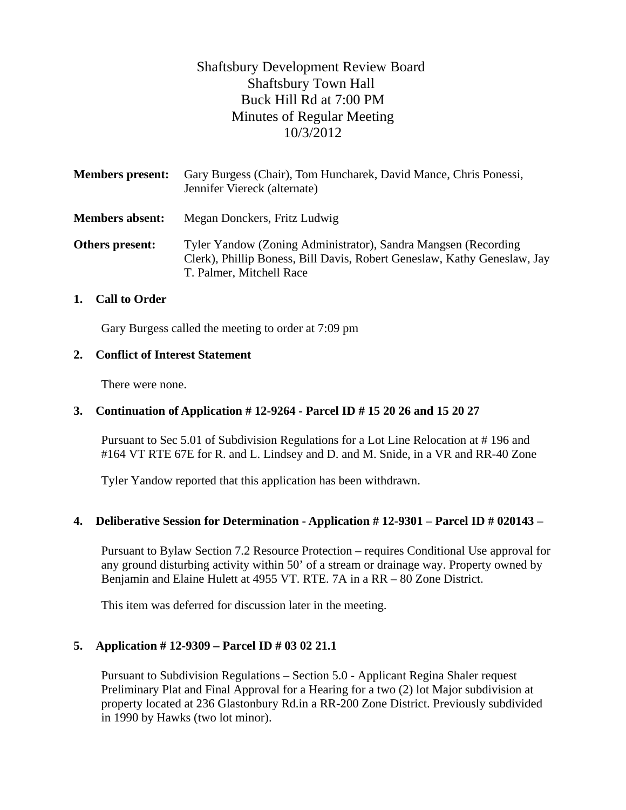# Shaftsbury Development Review Board Shaftsbury Town Hall Buck Hill Rd at 7:00 PM Minutes of Regular Meeting 10/3/2012

| <b>Members present:</b> | Gary Burgess (Chair), Tom Huncharek, David Mance, Chris Ponessi,<br>Jennifer Viereck (alternate)                                                                        |
|-------------------------|-------------------------------------------------------------------------------------------------------------------------------------------------------------------------|
| <b>Members absent:</b>  | Megan Donckers, Fritz Ludwig                                                                                                                                            |
| Others present:         | Tyler Yandow (Zoning Administrator), Sandra Mangsen (Recording)<br>Clerk), Phillip Boness, Bill Davis, Robert Geneslaw, Kathy Geneslaw, Jay<br>T. Palmer, Mitchell Race |

#### **1. Call to Order**

Gary Burgess called the meeting to order at 7:09 pm

#### **2. Conflict of Interest Statement**

There were none.

#### **3. Continuation of Application # 12-9264 - Parcel ID # 15 20 26 and 15 20 27**

Pursuant to Sec 5.01 of Subdivision Regulations for a Lot Line Relocation at # 196 and #164 VT RTE 67E for R. and L. Lindsey and D. and M. Snide, in a VR and RR-40 Zone

Tyler Yandow reported that this application has been withdrawn.

#### **4. Deliberative Session for Determination - Application # 12-9301 – Parcel ID # 020143 –**

Pursuant to Bylaw Section 7.2 Resource Protection – requires Conditional Use approval for any ground disturbing activity within 50' of a stream or drainage way. Property owned by Benjamin and Elaine Hulett at 4955 VT. RTE. 7A in a RR – 80 Zone District.

This item was deferred for discussion later in the meeting.

#### **5. Application # 12-9309 – Parcel ID # 03 02 21.1**

Pursuant to Subdivision Regulations – Section 5.0 - Applicant Regina Shaler request Preliminary Plat and Final Approval for a Hearing for a two (2) lot Major subdivision at property located at 236 Glastonbury Rd.in a RR-200 Zone District. Previously subdivided in 1990 by Hawks (two lot minor).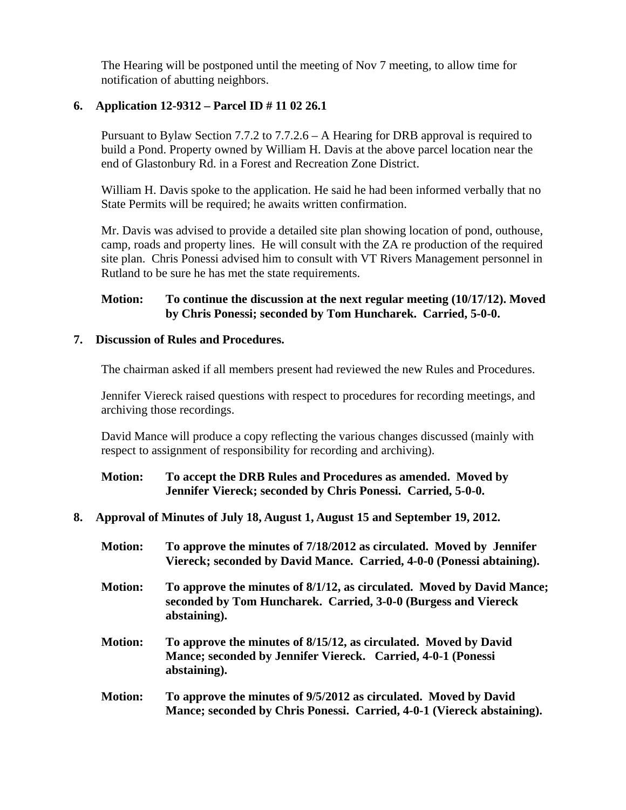The Hearing will be postponed until the meeting of Nov 7 meeting, to allow time for notification of abutting neighbors.

# **6. Application 12-9312 – Parcel ID # 11 02 26.1**

Pursuant to Bylaw Section 7.7.2 to 7.7.2.6 – A Hearing for DRB approval is required to build a Pond. Property owned by William H. Davis at the above parcel location near the end of Glastonbury Rd. in a Forest and Recreation Zone District.

William H. Davis spoke to the application. He said he had been informed verbally that no State Permits will be required; he awaits written confirmation.

Mr. Davis was advised to provide a detailed site plan showing location of pond, outhouse, camp, roads and property lines. He will consult with the ZA re production of the required site plan. Chris Ponessi advised him to consult with VT Rivers Management personnel in Rutland to be sure he has met the state requirements.

# **Motion: To continue the discussion at the next regular meeting (10/17/12). Moved by Chris Ponessi; seconded by Tom Huncharek. Carried, 5-0-0.**

#### **7. Discussion of Rules and Procedures.**

The chairman asked if all members present had reviewed the new Rules and Procedures.

Jennifer Viereck raised questions with respect to procedures for recording meetings, and archiving those recordings.

David Mance will produce a copy reflecting the various changes discussed (mainly with respect to assignment of responsibility for recording and archiving).

# **Motion: To accept the DRB Rules and Procedures as amended. Moved by Jennifer Viereck; seconded by Chris Ponessi. Carried, 5-0-0.**

## **8. Approval of Minutes of July 18, August 1, August 15 and September 19, 2012.**

- **Motion: To approve the minutes of 7/18/2012 as circulated. Moved by Jennifer Viereck; seconded by David Mance. Carried, 4-0-0 (Ponessi abtaining).**
- **Motion: To approve the minutes of 8/1/12, as circulated. Moved by David Mance; seconded by Tom Huncharek. Carried, 3-0-0 (Burgess and Viereck abstaining).**
- **Motion: To approve the minutes of 8/15/12, as circulated. Moved by David Mance; seconded by Jennifer Viereck. Carried, 4-0-1 (Ponessi abstaining).**
- **Motion: To approve the minutes of 9/5/2012 as circulated. Moved by David Mance; seconded by Chris Ponessi. Carried, 4-0-1 (Viereck abstaining).**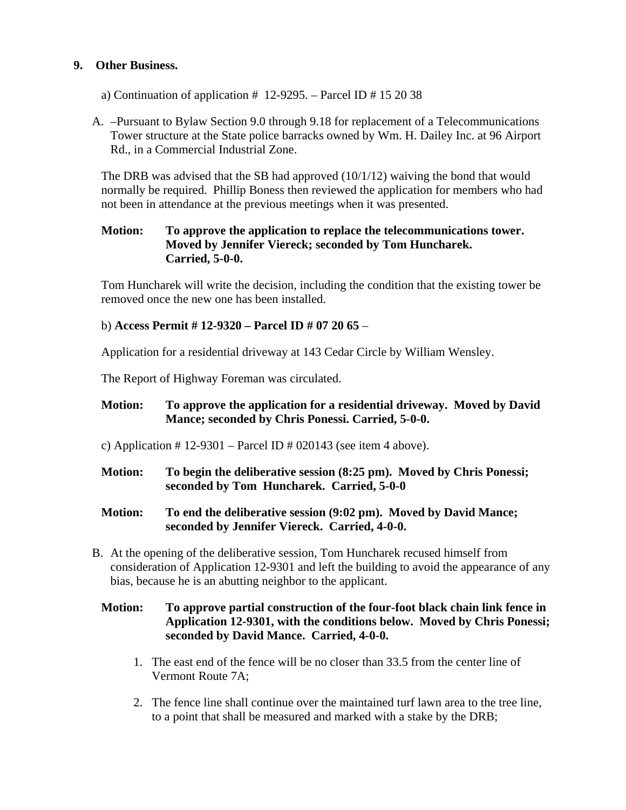# **9. Other Business.**

- a) Continuation of application  $\#$  12-9295. Parcel ID  $\#$  15 20 38
- A. –Pursuant to Bylaw Section 9.0 through 9.18 for replacement of a Telecommunications Tower structure at the State police barracks owned by Wm. H. Dailey Inc. at 96 Airport Rd., in a Commercial Industrial Zone.

The DRB was advised that the SB had approved  $(10/1/12)$  waiving the bond that would normally be required. Phillip Boness then reviewed the application for members who had not been in attendance at the previous meetings when it was presented.

# **Motion: To approve the application to replace the telecommunications tower. Moved by Jennifer Viereck; seconded by Tom Huncharek. Carried, 5-0-0.**

Tom Huncharek will write the decision, including the condition that the existing tower be removed once the new one has been installed.

# b) **Access Permit # 12-9320 – Parcel ID # 07 20 65** –

Application for a residential driveway at 143 Cedar Circle by William Wensley.

The Report of Highway Foreman was circulated.

# **Motion: To approve the application for a residential driveway. Moved by David Mance; seconded by Chris Ponessi. Carried, 5-0-0.**

- c) Application  $\# 12-9301$  Parcel ID  $\# 020143$  (see item 4 above).
- **Motion: To begin the deliberative session (8:25 pm). Moved by Chris Ponessi; seconded by Tom Huncharek. Carried, 5-0-0**
- **Motion: To end the deliberative session (9:02 pm). Moved by David Mance; seconded by Jennifer Viereck. Carried, 4-0-0.**
- B. At the opening of the deliberative session, Tom Huncharek recused himself from consideration of Application 12-9301 and left the building to avoid the appearance of any bias, because he is an abutting neighbor to the applicant.

# **Motion: To approve partial construction of the four-foot black chain link fence in Application 12-9301, with the conditions below. Moved by Chris Ponessi; seconded by David Mance. Carried, 4-0-0.**

- 1. The east end of the fence will be no closer than 33.5 from the center line of Vermont Route 7A;
- 2. The fence line shall continue over the maintained turf lawn area to the tree line, to a point that shall be measured and marked with a stake by the DRB;